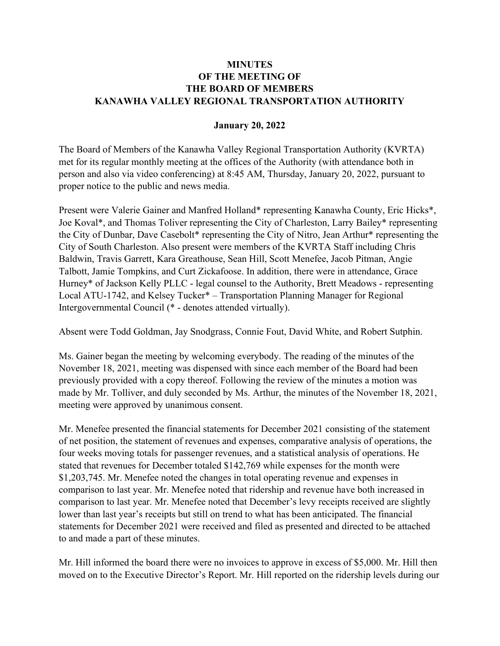## **MINUTES** OF THE MEETING OF THE BOARD OF MEMBERS KANAWHA VALLEY REGIONAL TRANSPORTATION AUTHORITY

## January 20, 2022

The Board of Members of the Kanawha Valley Regional Transportation Authority (KVRTA) met for its regular monthly meeting at the offices of the Authority (with attendance both in person and also via video conferencing) at 8:45 AM, Thursday, January 20, 2022, pursuant to proper notice to the public and news media.

Present were Valerie Gainer and Manfred Holland\* representing Kanawha County, Eric Hicks\*, Joe Koval\*, and Thomas Toliver representing the City of Charleston, Larry Bailey\* representing the City of Dunbar, Dave Casebolt\* representing the City of Nitro, Jean Arthur\* representing the City of South Charleston. Also present were members of the KVRTA Staff including Chris Baldwin, Travis Garrett, Kara Greathouse, Sean Hill, Scott Menefee, Jacob Pitman, Angie Talbott, Jamie Tompkins, and Curt Zickafoose. In addition, there were in attendance, Grace Hurney\* of Jackson Kelly PLLC - legal counsel to the Authority, Brett Meadows - representing Local ATU-1742, and Kelsey Tucker\* – Transportation Planning Manager for Regional Intergovernmental Council (\* - denotes attended virtually).

Absent were Todd Goldman, Jay Snodgrass, Connie Fout, David White, and Robert Sutphin.

Ms. Gainer began the meeting by welcoming everybody. The reading of the minutes of the November 18, 2021, meeting was dispensed with since each member of the Board had been previously provided with a copy thereof. Following the review of the minutes a motion was made by Mr. Tolliver, and duly seconded by Ms. Arthur, the minutes of the November 18, 2021, meeting were approved by unanimous consent.

Mr. Menefee presented the financial statements for December 2021 consisting of the statement of net position, the statement of revenues and expenses, comparative analysis of operations, the four weeks moving totals for passenger revenues, and a statistical analysis of operations. He stated that revenues for December totaled \$142,769 while expenses for the month were \$1,203,745. Mr. Menefee noted the changes in total operating revenue and expenses in comparison to last year. Mr. Menefee noted that ridership and revenue have both increased in comparison to last year. Mr. Menefee noted that December's levy receipts received are slightly lower than last year's receipts but still on trend to what has been anticipated. The financial statements for December 2021 were received and filed as presented and directed to be attached to and made a part of these minutes.

Mr. Hill informed the board there were no invoices to approve in excess of \$5,000. Mr. Hill then moved on to the Executive Director's Report. Mr. Hill reported on the ridership levels during our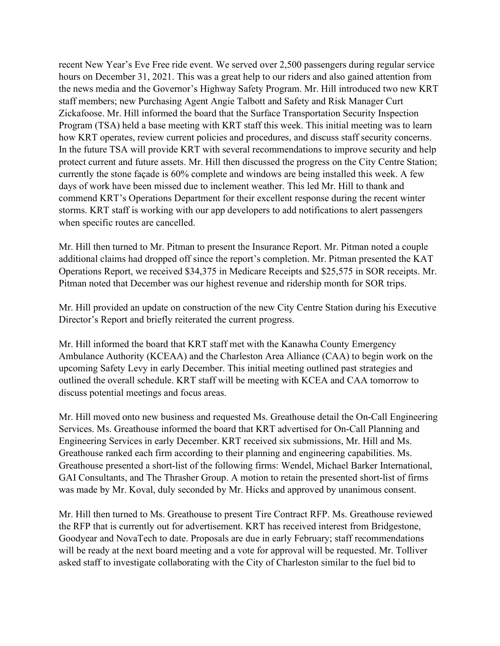recent New Year's Eve Free ride event. We served over 2,500 passengers during regular service hours on December 31, 2021. This was a great help to our riders and also gained attention from the news media and the Governor's Highway Safety Program. Mr. Hill introduced two new KRT staff members; new Purchasing Agent Angie Talbott and Safety and Risk Manager Curt Zickafoose. Mr. Hill informed the board that the Surface Transportation Security Inspection Program (TSA) held a base meeting with KRT staff this week. This initial meeting was to learn how KRT operates, review current policies and procedures, and discuss staff security concerns. In the future TSA will provide KRT with several recommendations to improve security and help protect current and future assets. Mr. Hill then discussed the progress on the City Centre Station; currently the stone façade is 60% complete and windows are being installed this week. A few days of work have been missed due to inclement weather. This led Mr. Hill to thank and commend KRT's Operations Department for their excellent response during the recent winter storms. KRT staff is working with our app developers to add notifications to alert passengers when specific routes are cancelled.

Mr. Hill then turned to Mr. Pitman to present the Insurance Report. Mr. Pitman noted a couple additional claims had dropped off since the report's completion. Mr. Pitman presented the KAT Operations Report, we received \$34,375 in Medicare Receipts and \$25,575 in SOR receipts. Mr. Pitman noted that December was our highest revenue and ridership month for SOR trips.

Mr. Hill provided an update on construction of the new City Centre Station during his Executive Director's Report and briefly reiterated the current progress.

Mr. Hill informed the board that KRT staff met with the Kanawha County Emergency Ambulance Authority (KCEAA) and the Charleston Area Alliance (CAA) to begin work on the upcoming Safety Levy in early December. This initial meeting outlined past strategies and outlined the overall schedule. KRT staff will be meeting with KCEA and CAA tomorrow to discuss potential meetings and focus areas.

Mr. Hill moved onto new business and requested Ms. Greathouse detail the On-Call Engineering Services. Ms. Greathouse informed the board that KRT advertised for On-Call Planning and Engineering Services in early December. KRT received six submissions, Mr. Hill and Ms. Greathouse ranked each firm according to their planning and engineering capabilities. Ms. Greathouse presented a short-list of the following firms: Wendel, Michael Barker International, GAI Consultants, and The Thrasher Group. A motion to retain the presented short-list of firms was made by Mr. Koval, duly seconded by Mr. Hicks and approved by unanimous consent.

Mr. Hill then turned to Ms. Greathouse to present Tire Contract RFP. Ms. Greathouse reviewed the RFP that is currently out for advertisement. KRT has received interest from Bridgestone, Goodyear and NovaTech to date. Proposals are due in early February; staff recommendations will be ready at the next board meeting and a vote for approval will be requested. Mr. Tolliver asked staff to investigate collaborating with the City of Charleston similar to the fuel bid to